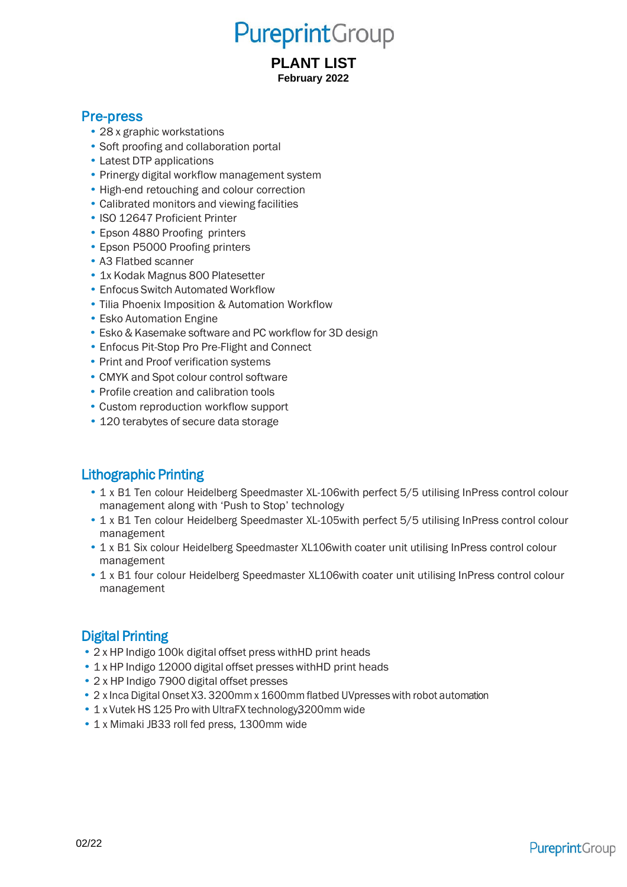# **Pureprint**Group

#### **PLANT LIST February 2022**

#### Pre-press

- 28 x graphic workstations
- Soft proofing and collaboration portal
- Latest DTP applications
- Prinergy digital workflow management system
- High-end retouching and colour correction
- Calibrated monitors and viewing facilities
- ISO 12647 Proficient Printer
- Epson 4880 Proofing printers
- Epson P5000 Proofing printers
- A3 Flatbed scanner
- 1x Kodak Magnus 800 Platesetter
- Enfocus Switch Automated Workflow
- Tilia Phoenix Imposition & Automation Workflow
- Esko Automation Engine
- Esko & Kasemake software and PC workflow for 3D design
- Enfocus Pit-Stop Pro Pre-Flight and Connect
- Print and Proof verification systems
- CMYK and Spot colour control software
- Profile creation and calibration tools
- Custom reproduction workflow support
- 120 terabytes of secure data storage

## Lithographic Printing

- 1 x B1 Ten colour Heidelberg Speedmaster XL-106with perfect 5/5 utilising InPress control colour management along with 'Push to Stop' technology
- 1 x B1 Ten colour Heidelberg Speedmaster XL-105with perfect 5/5 utilising InPress control colour management
- 1 x B1 Six colour Heidelberg Speedmaster XL106with coater unit utilising InPress control colour management
- 1 x B1 four colour Heidelberg Speedmaster XL106with coater unit utilising InPress control colour management

## Digital Printing

- 2 x HP Indigo 100k digital offset press withHD print heads
- 1 x HP Indigo 12000 digital offset presses withHD print heads
- 2 x HP Indigo 7900 digital offset presses
- 2 x Inca Digital Onset X3. 3200mm x 1600mm flatbed UVpresseswith robot automation
- 1 x Vutek HS 125 Pro with UltraFX technology 3200mm wide
- 1 x Mimaki JB33 roll fed press, 1300mm wide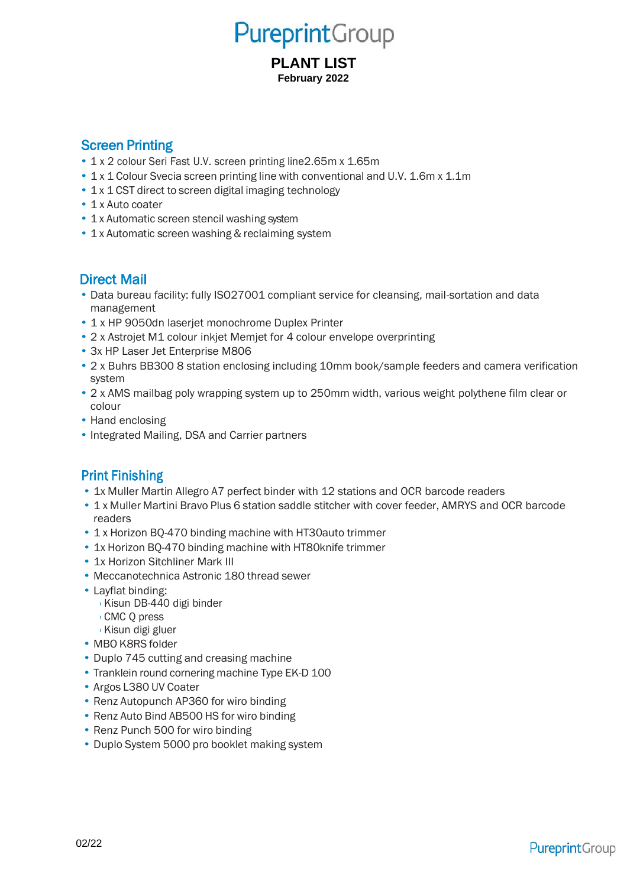## **Pureprint**Group

#### **PLANT LIST February 2022**

#### Screen Printing

- 1 x 2 colour Seri Fast U.V. screen printing line2.65m x 1.65m
- 1 x 1 Colour Svecia screen printing line with conventional and U.V. 1.6m x 1.1m
- 1 x 1 CST direct to screen digital imaging technology
- 1 x Auto coater
- 1 x Automatic screen stencil washing system
- 1 x Automatic screen washing & reclaiming system

#### Direct Mail

- Data bureau facility: fully ISO27001 compliant service for cleansing, mail-sortation and data management
- 1 x HP 9050dn laserjet monochrome Duplex Printer
- 2 x Astrojet M1 colour inkjet Memjet for 4 colour envelope overprinting
- 3x HP Laser Jet Enterprise M806
- 2 x Buhrs BB300 8 station enclosing including 10mm book/sample feeders and camera verification system
- 2 x AMS mailbag poly wrapping system up to 250mm width, various weight polythene film clear or colour
- Hand enclosing
- Integrated Mailing, DSA and Carrier partners

### Print Finishing

- 1x Muller Martin Allegro A7 perfect binder with 12 stations and OCR barcode readers
- 1 x Muller Martini Bravo Plus 6 station saddle stitcher with cover feeder, AMRYS and OCR barcode readers
- 1 x Horizon BQ-470 binding machine with HT30auto trimmer
- 1x Horizon BQ-470 binding machine with HT80knife trimmer
- 1x Horizon Sitchliner Mark III
- Meccanotechnica Astronic 180 thread sewer
- Layflat binding:
	- › Kisun DB-440 digi binder
	- › CMC Q press
- › Kisun digi gluer
- MBO K8RS folder
- Duplo 745 cutting and creasing machine
- Tranklein round cornering machine Type EK-D 100
- Argos L380 UV Coater
- Renz Autopunch AP360 for wiro binding
- Renz Auto Bind AB500 HS for wiro binding
- Renz Punch 500 for wiro binding
- Duplo System 5000 pro booklet making system